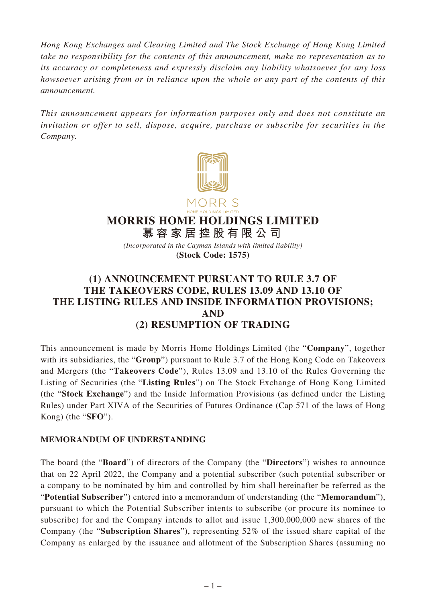*Hong Kong Exchanges and Clearing Limited and The Stock Exchange of Hong Kong Limited take no responsibility for the contents of this announcement, make no representation as to its accuracy or completeness and expressly disclaim any liability whatsoever for any loss howsoever arising from or in reliance upon the whole or any part of the contents of this announcement.*

*This announcement appears for information purposes only and does not constitute an invitation or offer to sell, dispose, acquire, purchase or subscribe for securities in the Company.*



**MORRIS HOME HOLDINGS LIMITED**

**慕容家居控股有限公司** *(Incorporated in the Cayman Islands with limited liability)* **(Stock Code: 1575)**

# **(1) ANNOUNCEMENT PURSUANT TO RULE 3.7 OF THE TAKEOVERS CODE, RULES 13.09 AND 13.10 OF THE LISTING RULES AND INSIDE INFORMATION PROVISIONS; AND (2) RESUMPTION OF TRADING**

This announcement is made by Morris Home Holdings Limited (the "**Company**", together with its subsidiaries, the "**Group**") pursuant to Rule 3.7 of the Hong Kong Code on Takeovers and Mergers (the "**Takeovers Code**"), Rules 13.09 and 13.10 of the Rules Governing the Listing of Securities (the "**Listing Rules**") on The Stock Exchange of Hong Kong Limited (the "**Stock Exchange**") and the Inside Information Provisions (as defined under the Listing Rules) under Part XIVA of the Securities of Futures Ordinance (Cap 571 of the laws of Hong Kong) (the "**SFO**").

## **MEMORANDUM OF UNDERSTANDING**

The board (the "**Board**") of directors of the Company (the "**Directors**") wishes to announce that on 22 April 2022, the Company and a potential subscriber (such potential subscriber or a company to be nominated by him and controlled by him shall hereinafter be referred as the "**Potential Subscriber**") entered into a memorandum of understanding (the "**Memorandum**"), pursuant to which the Potential Subscriber intents to subscribe (or procure its nominee to subscribe) for and the Company intends to allot and issue 1,300,000,000 new shares of the Company (the "**Subscription Shares**"), representing 52% of the issued share capital of the Company as enlarged by the issuance and allotment of the Subscription Shares (assuming no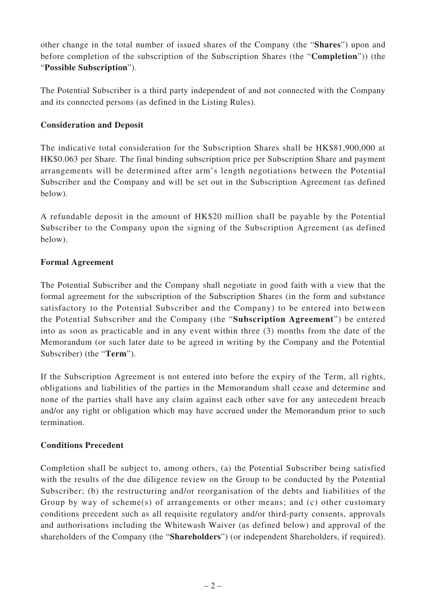other change in the total number of issued shares of the Company (the "**Shares**") upon and before completion of the subscription of the Subscription Shares (the "**Completion**")) (the "**Possible Subscription**").

The Potential Subscriber is a third party independent of and not connected with the Company and its connected persons (as defined in the Listing Rules).

## **Consideration and Deposit**

The indicative total consideration for the Subscription Shares shall be HK\$81,900,000 at HK\$0.063 per Share. The final binding subscription price per Subscription Share and payment arrangements will be determined after arm's length negotiations between the Potential Subscriber and the Company and will be set out in the Subscription Agreement (as defined below).

A refundable deposit in the amount of HK\$20 million shall be payable by the Potential Subscriber to the Company upon the signing of the Subscription Agreement (as defined below).

## **Formal Agreement**

The Potential Subscriber and the Company shall negotiate in good faith with a view that the formal agreement for the subscription of the Subscription Shares (in the form and substance satisfactory to the Potential Subscriber and the Company) to be entered into between the Potential Subscriber and the Company (the "**Subscription Agreement**") be entered into as soon as practicable and in any event within three (3) months from the date of the Memorandum (or such later date to be agreed in writing by the Company and the Potential Subscriber) (the "**Term**").

If the Subscription Agreement is not entered into before the expiry of the Term, all rights, obligations and liabilities of the parties in the Memorandum shall cease and determine and none of the parties shall have any claim against each other save for any antecedent breach and/or any right or obligation which may have accrued under the Memorandum prior to such termination.

## **Conditions Precedent**

Completion shall be subject to, among others, (a) the Potential Subscriber being satisfied with the results of the due diligence review on the Group to be conducted by the Potential Subscriber; (b) the restructuring and/or reorganisation of the debts and liabilities of the Group by way of scheme(s) of arrangements or other means; and (c) other customary conditions precedent such as all requisite regulatory and/or third-party consents, approvals and authorisations including the Whitewash Waiver (as defined below) and approval of the shareholders of the Company (the "**Shareholders**") (or independent Shareholders, if required).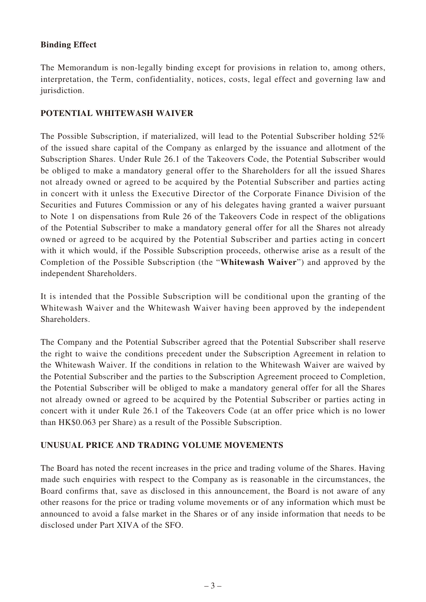#### **Binding Effect**

The Memorandum is non-legally binding except for provisions in relation to, among others, interpretation, the Term, confidentiality, notices, costs, legal effect and governing law and jurisdiction.

#### **POTENTIAL WHITEWASH WAIVER**

The Possible Subscription, if materialized, will lead to the Potential Subscriber holding 52% of the issued share capital of the Company as enlarged by the issuance and allotment of the Subscription Shares. Under Rule 26.1 of the Takeovers Code, the Potential Subscriber would be obliged to make a mandatory general offer to the Shareholders for all the issued Shares not already owned or agreed to be acquired by the Potential Subscriber and parties acting in concert with it unless the Executive Director of the Corporate Finance Division of the Securities and Futures Commission or any of his delegates having granted a waiver pursuant to Note 1 on dispensations from Rule 26 of the Takeovers Code in respect of the obligations of the Potential Subscriber to make a mandatory general offer for all the Shares not already owned or agreed to be acquired by the Potential Subscriber and parties acting in concert with it which would, if the Possible Subscription proceeds, otherwise arise as a result of the Completion of the Possible Subscription (the "**Whitewash Waiver**") and approved by the independent Shareholders.

It is intended that the Possible Subscription will be conditional upon the granting of the Whitewash Waiver and the Whitewash Waiver having been approved by the independent Shareholders.

The Company and the Potential Subscriber agreed that the Potential Subscriber shall reserve the right to waive the conditions precedent under the Subscription Agreement in relation to the Whitewash Waiver. If the conditions in relation to the Whitewash Waiver are waived by the Potential Subscriber and the parties to the Subscription Agreement proceed to Completion, the Potential Subscriber will be obliged to make a mandatory general offer for all the Shares not already owned or agreed to be acquired by the Potential Subscriber or parties acting in concert with it under Rule 26.1 of the Takeovers Code (at an offer price which is no lower than HK\$0.063 per Share) as a result of the Possible Subscription.

## **UNUSUAL PRICE AND TRADING VOLUME MOVEMENTS**

The Board has noted the recent increases in the price and trading volume of the Shares. Having made such enquiries with respect to the Company as is reasonable in the circumstances, the Board confirms that, save as disclosed in this announcement, the Board is not aware of any other reasons for the price or trading volume movements or of any information which must be announced to avoid a false market in the Shares or of any inside information that needs to be disclosed under Part XIVA of the SFO.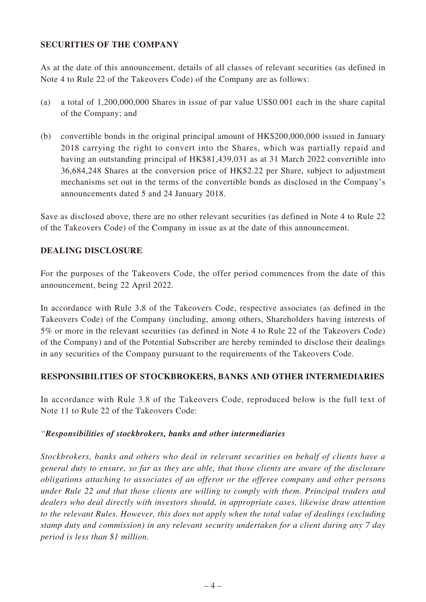#### **SECURITIES OF THE COMPANY**

As at the date of this announcement, details of all classes of relevant securities (as defined in Note 4 to Rule 22 of the Takeovers Code) of the Company are as follows:

- (a) a total of 1,200,000,000 Shares in issue of par value US\$0.001 each in the share capital of the Company; and
- (b) convertible bonds in the original principal amount of HK\$200,000,000 issued in January 2018 carrying the right to convert into the Shares, which was partially repaid and having an outstanding principal of HK\$81,439,031 as at 31 March 2022 convertible into 36,684,248 Shares at the conversion price of HK\$2.22 per Share, subject to adjustment mechanisms set out in the terms of the convertible bonds as disclosed in the Company's announcements dated 5 and 24 January 2018.

Save as disclosed above, there are no other relevant securities (as defined in Note 4 to Rule 22 of the Takeovers Code) of the Company in issue as at the date of this announcement.

#### **DEALING DISCLOSURE**

For the purposes of the Takeovers Code, the offer period commences from the date of this announcement, being 22 April 2022.

In accordance with Rule 3.8 of the Takeovers Code, respective associates (as defined in the Takeovers Code) of the Company (including, among others, Shareholders having interests of 5% or more in the relevant securities (as defined in Note 4 to Rule 22 of the Takeovers Code) of the Company) and of the Potential Subscriber are hereby reminded to disclose their dealings in any securities of the Company pursuant to the requirements of the Takeovers Code.

#### **RESPONSIBILITIES OF STOCKBROKERS, BANKS AND OTHER INTERMEDIARIES**

In accordance with Rule 3.8 of the Takeovers Code, reproduced below is the full text of Note 11 to Rule 22 of the Takeovers Code:

#### *"Responsibilities of stockbrokers, banks and other intermediaries*

*Stockbrokers, banks and others who deal in relevant securities on behalf of clients have a general duty to ensure, so far as they are able, that those clients are aware of the disclosure obligations attaching to associates of an offeror or the offeree company and other persons under Rule 22 and that those clients are willing to comply with them. Principal traders and dealers who deal directly with investors should, in appropriate cases, likewise draw attention to the relevant Rules. However, this does not apply when the total value of dealings (excluding stamp duty and commission) in any relevant security undertaken for a client during any 7 day period is less than \$1 million.*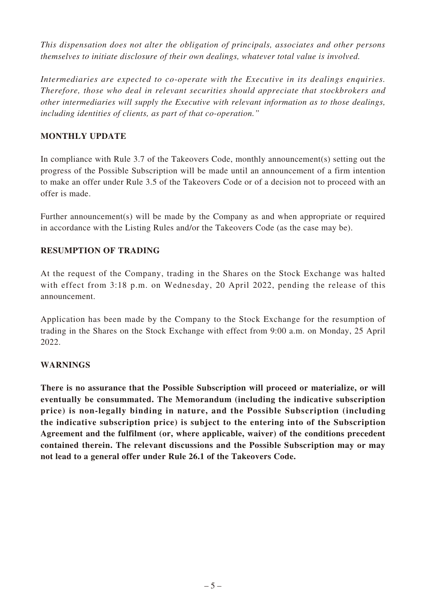*This dispensation does not alter the obligation of principals, associates and other persons themselves to initiate disclosure of their own dealings, whatever total value is involved.*

*Intermediaries are expected to co-operate with the Executive in its dealings enquiries. Therefore, those who deal in relevant securities should appreciate that stockbrokers and other intermediaries will supply the Executive with relevant information as to those dealings, including identities of clients, as part of that co-operation."*

## **MONTHLY UPDATE**

In compliance with Rule 3.7 of the Takeovers Code, monthly announcement(s) setting out the progress of the Possible Subscription will be made until an announcement of a firm intention to make an offer under Rule 3.5 of the Takeovers Code or of a decision not to proceed with an offer is made.

Further announcement(s) will be made by the Company as and when appropriate or required in accordance with the Listing Rules and/or the Takeovers Code (as the case may be).

## **RESUMPTION OF TRADING**

At the request of the Company, trading in the Shares on the Stock Exchange was halted with effect from 3:18 p.m. on Wednesday, 20 April 2022, pending the release of this announcement.

Application has been made by the Company to the Stock Exchange for the resumption of trading in the Shares on the Stock Exchange with effect from 9:00 a.m. on Monday, 25 April 2022.

## **WARNINGS**

**There is no assurance that the Possible Subscription will proceed or materialize, or will eventually be consummated. The Memorandum (including the indicative subscription price) is non-legally binding in nature, and the Possible Subscription (including the indicative subscription price) is subject to the entering into of the Subscription Agreement and the fulfilment (or, where applicable, waiver) of the conditions precedent contained therein. The relevant discussions and the Possible Subscription may or may not lead to a general offer under Rule 26.1 of the Takeovers Code.**